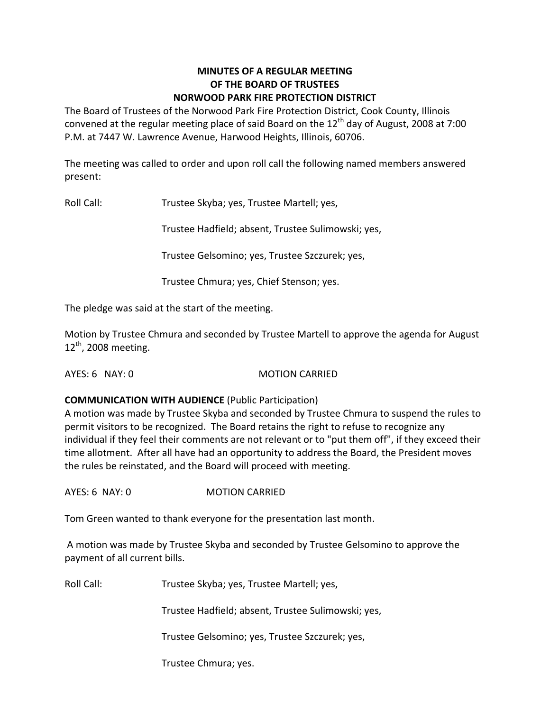### **MINUTES OF A REGULAR MEETING OF THE BOARD OF TRUSTEES NORWOOD PARK FIRE PROTECTION DISTRICT**

The Board of Trustees of the Norwood Park Fire Protection District, Cook County, Illinois convened at the regular meeting place of said Board on the  $12<sup>th</sup>$  day of August, 2008 at 7:00 P.M. at 7447 W. Lawrence Avenue, Harwood Heights, Illinois, 60706.

The meeting was called to order and upon roll call the following named members answered present:

Roll Call: Trustee Skyba; yes, Trustee Martell; yes,

Trustee Hadfield; absent, Trustee Sulimowski; yes,

Trustee Gelsomino; yes, Trustee Szczurek; yes,

Trustee Chmura; yes, Chief Stenson; yes.

The pledge was said at the start of the meeting.

Motion by Trustee Chmura and seconded by Trustee Martell to approve the agenda for August  $12<sup>th</sup>$ , 2008 meeting.

AYES: 6 NAY: 0 MOTION CARRIED

### **COMMUNICATION WITH AUDIENCE** (Public Participation)

A motion was made by Trustee Skyba and seconded by Trustee Chmura to suspend the rules to permit visitors to be recognized. The Board retains the right to refuse to recognize any individual if they feel their comments are not relevant or to "put them off", if they exceed their time allotment. After all have had an opportunity to address the Board, the President moves the rules be reinstated, and the Board will proceed with meeting.

AYES: 6 NAY: 0 MOTION CARRIED

Tom Green wanted to thank everyone for the presentation last month.

A motion was made by Trustee Skyba and seconded by Trustee Gelsomino to approve the payment of all current bills.

Roll Call: Trustee Skyba; yes, Trustee Martell; yes,

Trustee Hadfield; absent, Trustee Sulimowski; yes,

Trustee Gelsomino; yes, Trustee Szczurek; yes,

Trustee Chmura; yes.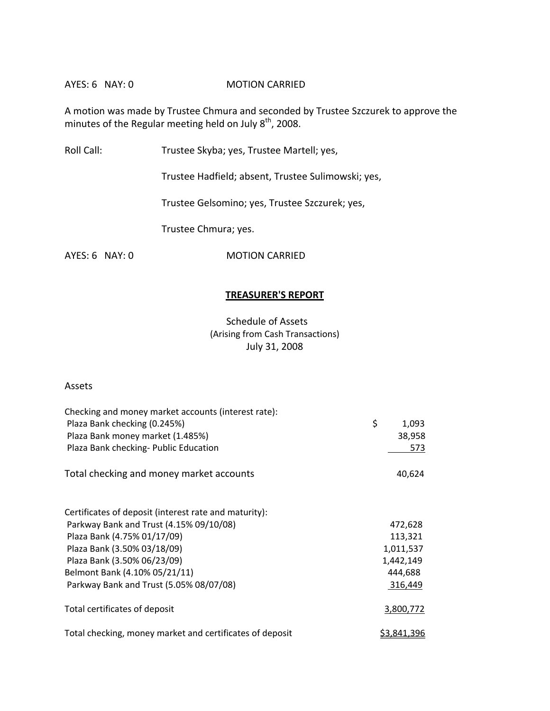### AYES: 6 NAY: 0 **MOTION CARRIED**

A motion was made by Trustee Chmura and seconded by Trustee Szczurek to approve the minutes of the Regular meeting held on July  $8^{th}$ , 2008.

Roll Call: Trustee Skyba; yes, Trustee Martell; yes,

Trustee Hadfield; absent, Trustee Sulimowski; yes,

Trustee Gelsomino; yes, Trustee Szczurek; yes,

Trustee Chmura; yes.

AYES: 6 NAY: 0 MOTION CARRIED

### **TREASURER'S REPORT**

Schedule of Assets (Arising from Cash Transactions) July 31, 2008

### Assets

| Checking and money market accounts (interest rate):      |                    |
|----------------------------------------------------------|--------------------|
| Plaza Bank checking (0.245%)                             | \$<br>1,093        |
| Plaza Bank money market (1.485%)                         | 38,958             |
| Plaza Bank checking- Public Education                    | 573                |
| Total checking and money market accounts                 | 40,624             |
| Certificates of deposit (interest rate and maturity):    |                    |
| Parkway Bank and Trust (4.15% 09/10/08)                  | 472,628            |
| Plaza Bank (4.75% 01/17/09)                              | 113,321            |
| Plaza Bank (3.50% 03/18/09)                              | 1,011,537          |
| Plaza Bank (3.50% 06/23/09)                              | 1,442,149          |
| Belmont Bank (4.10% 05/21/11)                            | 444,688            |
| Parkway Bank and Trust (5.05% 08/07/08)                  | 316,449            |
| Total certificates of deposit                            | 3,800,772          |
| Total checking, money market and certificates of deposit | <u>\$3,841,396</u> |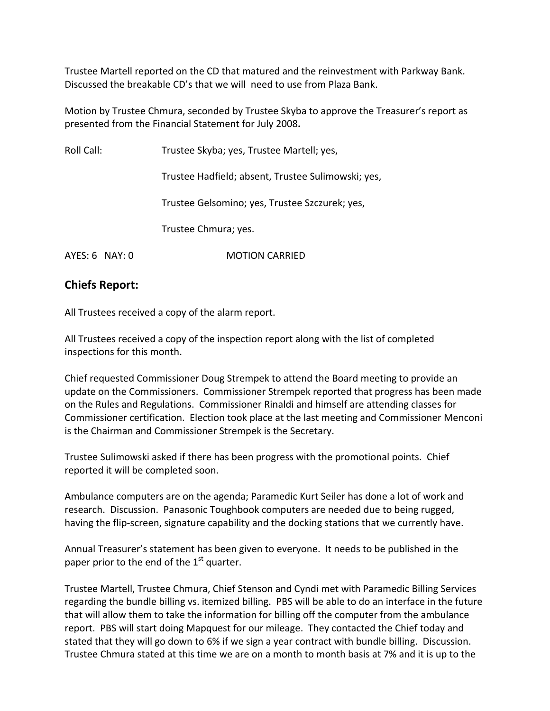Trustee Martell reported on the CD that matured and the reinvestment with Parkway Bank. Discussed the breakable CD's that we will need to use from Plaza Bank.

Motion by Trustee Chmura, seconded by Trustee Skyba to approve the Treasurer's report as presented from the Financial Statement for July 2008**.**

Roll Call: Trustee Skyba; yes, Trustee Martell; yes,

Trustee Hadfield; absent, Trustee Sulimowski; yes,

Trustee Gelsomino; yes, Trustee Szczurek; yes,

Trustee Chmura; yes.

AYES: 6 NAY: 0 **MOTION CARRIED** 

# **Chiefs Report:**

All Trustees received a copy of the alarm report.

All Trustees received a copy of the inspection report along with the list of completed inspections for this month.

Chief requested Commissioner Doug Strempek to attend the Board meeting to provide an update on the Commissioners. Commissioner Strempek reported that progress has been made on the Rules and Regulations. Commissioner Rinaldi and himself are attending classes for Commissioner certification. Election took place at the last meeting and Commissioner Menconi is the Chairman and Commissioner Strempek is the Secretary.

Trustee Sulimowski asked if there has been progress with the promotional points. Chief reported it will be completed soon.

Ambulance computers are on the agenda; Paramedic Kurt Seiler has done a lot of work and research. Discussion. Panasonic Toughbook computers are needed due to being rugged, having the flip-screen, signature capability and the docking stations that we currently have.

Annual Treasurer's statement has been given to everyone. It needs to be published in the paper prior to the end of the  $1^{\text{st}}$  quarter.

Trustee Martell, Trustee Chmura, Chief Stenson and Cyndi met with Paramedic Billing Services regarding the bundle billing vs. itemized billing. PBS will be able to do an interface in the future that will allow them to take the information for billing off the computer from the ambulance report. PBS will start doing Mapquest for our mileage. They contacted the Chief today and stated that they will go down to 6% if we sign a year contract with bundle billing. Discussion. Trustee Chmura stated at this time we are on a month to month basis at 7% and it is up to the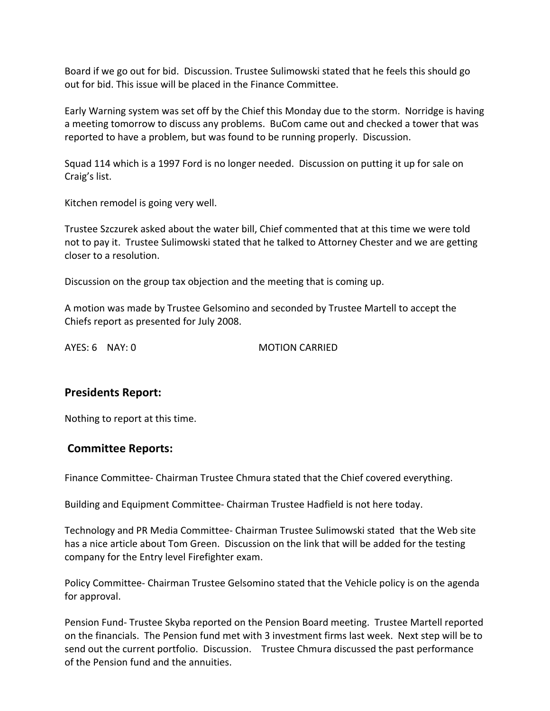Board if we go out for bid. Discussion. Trustee Sulimowski stated that he feels this should go out for bid. This issue will be placed in the Finance Committee.

Early Warning system was set off by the Chief this Monday due to the storm. Norridge is having a meeting tomorrow to discuss any problems. BuCom came out and checked a tower that was reported to have a problem, but was found to be running properly. Discussion.

Squad 114 which is a 1997 Ford is no longer needed. Discussion on putting it up for sale on Craig's list.

Kitchen remodel is going very well.

Trustee Szczurek asked about the water bill, Chief commented that at this time we were told not to pay it. Trustee Sulimowski stated that he talked to Attorney Chester and we are getting closer to a resolution.

Discussion on the group tax objection and the meeting that is coming up.

A motion was made by Trustee Gelsomino and seconded by Trustee Martell to accept the Chiefs report as presented for July 2008.

AYES: 6 NAY: 0 MOTION CARRIED

## **Presidents Report:**

Nothing to report at this time.

## **Committee Reports:**

Finance Committee‐ Chairman Trustee Chmura stated that the Chief covered everything.

Building and Equipment Committee‐ Chairman Trustee Hadfield is not here today.

Technology and PR Media Committee‐ Chairman Trustee Sulimowski stated that the Web site has a nice article about Tom Green. Discussion on the link that will be added for the testing company for the Entry level Firefighter exam.

Policy Committee‐ Chairman Trustee Gelsomino stated that the Vehicle policy is on the agenda for approval.

Pension Fund‐ Trustee Skyba reported on the Pension Board meeting. Trustee Martell reported on the financials. The Pension fund met with 3 investment firms last week. Next step will be to send out the current portfolio. Discussion. Trustee Chmura discussed the past performance of the Pension fund and the annuities.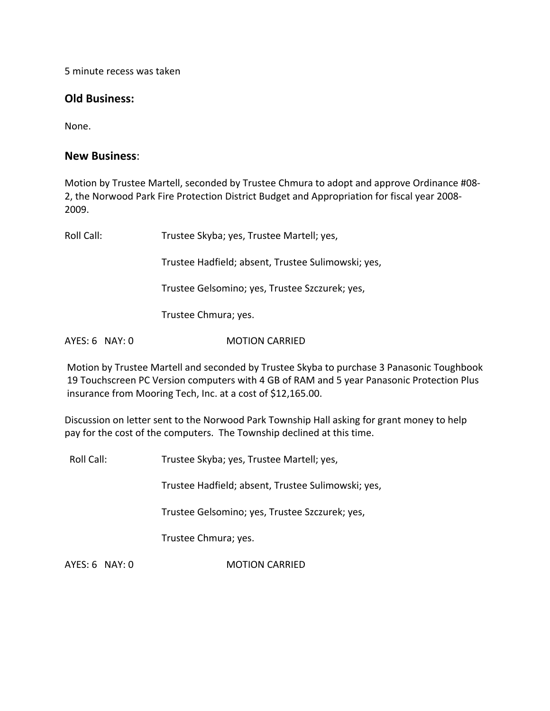5 minute recess was taken

## **Old Business:**

None.

## **New Business**:

Motion by Trustee Martell, seconded by Trustee Chmura to adopt and approve Ordinance #08‐ 2, the Norwood Park Fire Protection District Budget and Appropriation for fiscal year 2008‐ 2009.

Roll Call: Trustee Skyba; yes, Trustee Martell; yes, Trustee Hadfield; absent, Trustee Sulimowski; yes, Trustee Gelsomino; yes, Trustee Szczurek; yes, Trustee Chmura; yes. AYES: 6 NAY: 0 **MOTION CARRIED** 

Motion by Trustee Martell and seconded by Trustee Skyba to purchase 3 Panasonic Toughbook 19 Touchscreen PC Version computers with 4 GB of RAM and 5 year Panasonic Protection Plus insurance from Mooring Tech, Inc. at a cost of \$12,165.00.

Discussion on letter sent to the Norwood Park Township Hall asking for grant money to help pay for the cost of the computers. The Township declined at this time.

Roll Call: Trustee Skyba; yes, Trustee Martell; yes,

Trustee Hadfield; absent, Trustee Sulimowski; yes,

Trustee Gelsomino; yes, Trustee Szczurek; yes,

Trustee Chmura; yes.

AYES: 6 NAY: 0 **MOTION CARRIED**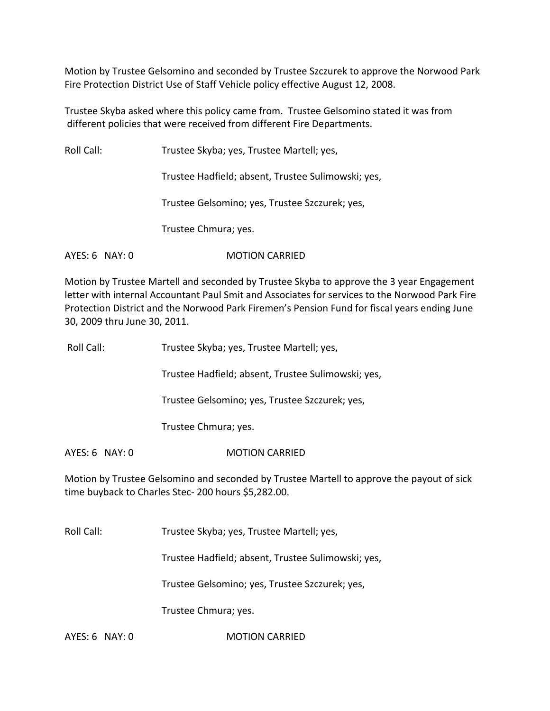Motion by Trustee Gelsomino and seconded by Trustee Szczurek to approve the Norwood Park Fire Protection District Use of Staff Vehicle policy effective August 12, 2008.

Trustee Skyba asked where this policy came from. Trustee Gelsomino stated it was from different policies that were received from different Fire Departments.

Roll Call: Trustee Skyba; yes, Trustee Martell; yes,

Trustee Hadfield; absent, Trustee Sulimowski; yes,

Trustee Gelsomino; yes, Trustee Szczurek; yes,

Trustee Chmura; yes.

AYES: 6 NAY: 0 **MOTION CARRIED** 

Motion by Trustee Martell and seconded by Trustee Skyba to approve the 3 year Engagement letter with internal Accountant Paul Smit and Associates for services to the Norwood Park Fire Protection District and the Norwood Park Firemen's Pension Fund for fiscal years ending June 30, 2009 thru June 30, 2011.

| Roll Call: | Trustee Skyba; yes, Trustee Martell; yes, |
|------------|-------------------------------------------|
|            |                                           |

Trustee Hadfield; absent, Trustee Sulimowski; yes,

Trustee Gelsomino; yes, Trustee Szczurek; yes,

Trustee Chmura; yes.

AYES: 6 NAY: 0 MOTION CARRIED

Motion by Trustee Gelsomino and seconded by Trustee Martell to approve the payout of sick time buyback to Charles Stec‐ 200 hours \$5,282.00.

Roll Call: Trustee Skyba; yes, Trustee Martell; yes,

Trustee Hadfield; absent, Trustee Sulimowski; yes,

Trustee Gelsomino; yes, Trustee Szczurek; yes,

Trustee Chmura; yes.

AYES: 6 NAY: 0 **MOTION CARRIED**